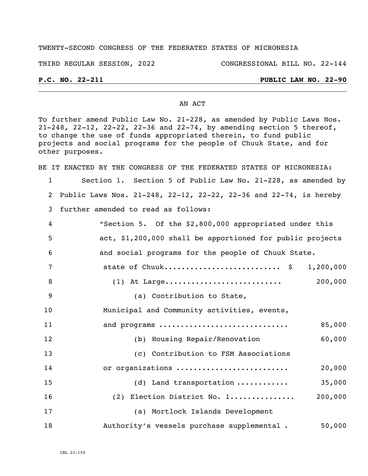### TWENTY-SECOND CONGRESS OF THE FEDERATED STATES OF MICRONESIA

THIRD REGULAR SESSION, 2022 CONGRESSIONAL BILL NO. 22-144

## **P.C. NO. 22-211 PUBLIC LAW NO. 22-90**

### AN ACT

To further amend Public Law No. 21-228, as amended by Public Laws Nos. 21-248, 22-12, 22-22, 22-36 and 22-74, by amending section 5 thereof, to change the use of funds appropriated therein, to fund public projects and social programs for the people of Chuuk State, and for other purposes.

BE IT ENACTED BY THE CONGRESS OF THE FEDERATED STATES OF MICRONESIA:

 Section 1. Section 5 of Public Law No. 21-228, as amended by Public Laws Nos. 21-248, 22-12, 22-22, 22-36 and 22-74, is hereby further amended to read as follows:

| 4   | "Section 5. Of the \$2,800,000 appropriated under this    |
|-----|-----------------------------------------------------------|
| - 5 | act, \$1,200,000 shall be apportioned for public projects |
| - 6 | and social programs for the people of Chuuk State.        |

|  | state of Chuuk \$ 1,200,000 |         |
|--|-----------------------------|---------|
|  |                             | 200,000 |

Municipal and Community activities, events,

(a) Contribution to State,

| 11 | and programs                               | 85,000  |
|----|--------------------------------------------|---------|
| 12 | (b) Housing Repair/Renovation              | 60,000  |
| 13 | (c) Contribution to FSM Associations       |         |
| 14 | or organizations                           | 20,000  |
| 15 | $(d)$ Land transportation                  | 35,000  |
| 16 | (2) Election District No. 1                | 200,000 |
| 17 | (a) Mortlock Islands Development           |         |
| 18 | Authority's vessels purchase supplemental. | 50,000  |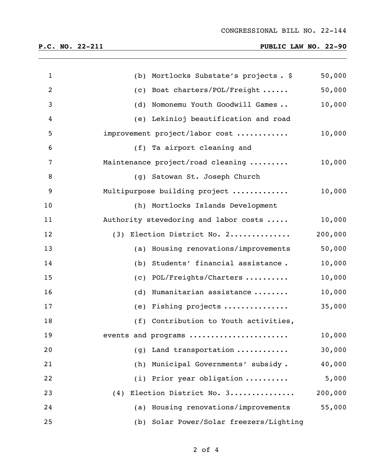# **P.C. NO. 22-211 PUBLIC LAW NO. 22-90**

| $\mathbf{1}$ | Mortlocks Substate's projects. \$<br>(b)   | 50,000  |
|--------------|--------------------------------------------|---------|
| 2            | Boat charters/POL/Freight<br>(c)           | 50,000  |
| 3            | Nomonemu Youth Goodwill Games<br>(d)       | 10,000  |
| 4            | (e) Lekinioj beautification and road       |         |
| 5            | improvement project/labor cost             | 10,000  |
| 6            | (f) Ta airport cleaning and                |         |
| 7            | Maintenance project/road cleaning          | 10,000  |
| 8            | (g) Satowan St. Joseph Church              |         |
| 9            | Multipurpose building project              | 10,000  |
| 10           | (h) Mortlocks Islands Development          |         |
| 11           | Authority stevedoring and labor costs      | 10,000  |
| 12           | (3) Election District No. 2                | 200,000 |
| 13           | (a) Housing renovations/improvements       | 50,000  |
| 14           | Students' financial assistance.<br>(b)     | 10,000  |
| 15           | POL/Freights/Charters<br>(c)               | 10,000  |
| 16           | Humanitarian assistance<br>(d)             | 10,000  |
| 17           | Fishing projects<br>(e)                    | 35,000  |
| 18           | (f) Contribution to Youth activities,      |         |
| 19           | events and programs                        | 10,000  |
| 20           | Land transportation<br>(g)                 | 30,000  |
| 21           | (h) Municipal Governments' subsidy.        | 40,000  |
| 22           | (i) Prior year obligation                  | 5,000   |
| 23           | Election District No. 3<br>(4)             | 200,000 |
| 24           | (a) Housing renovations/improvements       | 55,000  |
| 25           | Solar Power/Solar freezers/Lighting<br>(b) |         |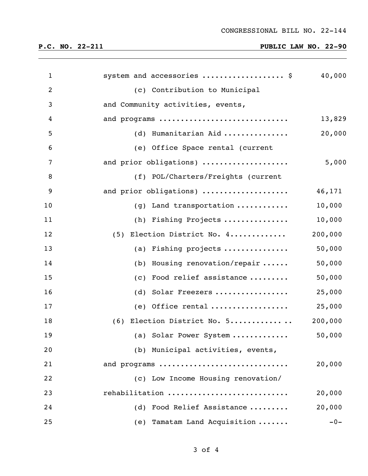# **P.C. NO. 22-211 PUBLIC LAW NO. 22-90**

| $\mathbf{1}$ | system and accessories  \$                         | 40,000  |
|--------------|----------------------------------------------------|---------|
| 2            | (c) Contribution to Municipal                      |         |
| 3            | and Community activities, events,                  |         |
| 4            | and programs                                       | 13,829  |
| 5            | (d) Humanitarian Aid                               | 20,000  |
| 6            | (e) Office Space rental (current                   |         |
| 7            | and prior obligations)                             | 5,000   |
| 8            | (f) POL/Charters/Freights (current                 |         |
| 9            | and prior obligations)                             | 46,171  |
| 10           | (g) Land transportation                            | 10,000  |
| 11           | (h) Fishing Projects                               | 10,000  |
| 12           | (5) Election District No. 4                        | 200,000 |
| 13           | (a) Fishing projects                               | 50,000  |
| 14           | (b) Housing renovation/repair $\ldots$ .           | 50,000  |
| 15           | (c) Food relief assistance                         | 50,000  |
| 16           | (d) Solar Freezers                                 | 25,000  |
| 17           | (e) Office rental $\dots\dots\dots\dots\dots\dots$ | 25,000  |
| 18           | (6) Election District No. 5                        | 200,000 |
| 19           | (a) Solar Power System                             | 50,000  |
| 20           | (b) Municipal activities, events,                  |         |
| 21           | and programs                                       | 20,000  |
| 22           | (c) Low Income Housing renovation/                 |         |
| 23           | rehabilitation                                     | 20,000  |
| 24           | Food Relief Assistance<br>(d)                      | 20,000  |
| 25           | (e) Tamatam Land Acquisition                       | $-0-$   |